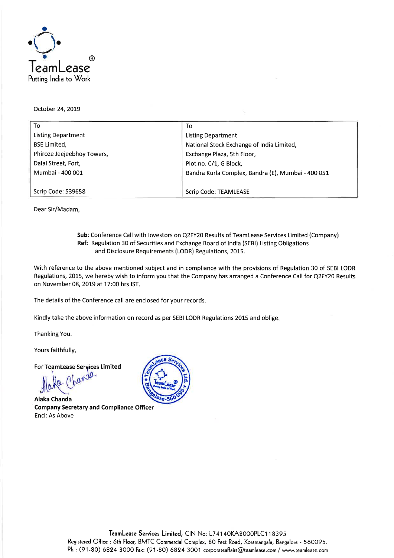

October 24, 2019

| To                         | To                                                 |
|----------------------------|----------------------------------------------------|
| Listing Department         | <b>Listing Department</b>                          |
| <b>BSE Limited,</b>        | National Stock Exchange of India Limited,          |
| Phiroze Jeejeebhoy Towers, | Exchange Plaza, 5th Floor,                         |
| Dalal Street, Fort,        | Plot no. C/1, G Block,                             |
| Mumbai - 400 001           | Bandra Kurla Complex, Bandra (E), Mumbai - 400 051 |
|                            |                                                    |
| Scrip Code: 539658         | <b>Scrip Code: TEAMLEASE</b>                       |

Dear Sir/Madam,

#### **Sub:** Conference Call with Investors on Q2FY20 Results of TeamLease Services Limited (Company) **Ref:** Regulation 30 of Securities and Exchange Board of India (SEBI) Listing Obligations and Disclosure Requirements (LODR) Regulations, 2015.

With reference to the above mentioned subject and in compliance with the provisions of Regulation 30 of SEBI LODR Regulations, 2015, we hereby wish to inform you that the Company has arranged a Conference Call for Q2FY20 Results on November 08, 2019 at 17:00 hrs 1ST.

The details of the Conference call are enclosed for your records.

Kindly take the above information on record as per SEBI LODR Regulations 2015 and oblige.

Thanking You.

Yours faithfully,

For **TeamLease Services Limited**<br> **ALABOO** 

**Alaka Chanda Company Secretary and Compliance Officer**  Encl: As Above